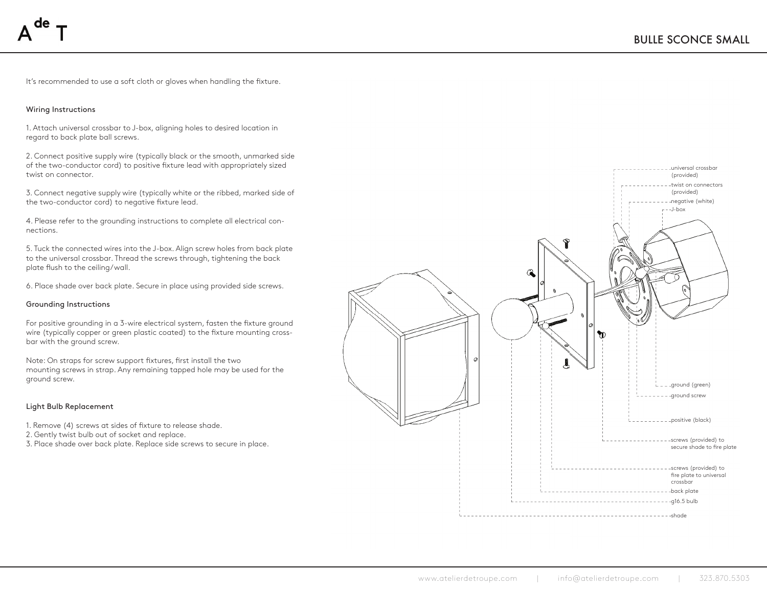It's recommended to use a soft cloth or gloves when handling the fixture.

## Wiring Instructions

1. Attach universal crossbar to J-box, aligning holes to desired location in regard to back plate ball screws.

2. Connect positive supply wire (typically black or the smooth, unmarked side of the two-conductor cord) to positive fixture lead with appropriately sized twist on connector.

3. Connect negative supply wire (typically white or the ribbed, marked side of the two-conductor cord) to negative fixture lead.

4. Please refer to the grounding instructions to complete all electrical connections.

5. Tuck the connected wires into the J-box. Align screw holes from back plate to the universal crossbar. Thread the screws through, tightening the back plate flush to the ceiling/wall.

6. Place shade over back plate. Secure in place using provided side screws.

### Grounding Instructions

For positive grounding in a 3-wire electrical system, fasten the fixture ground wire (typically copper or green plastic coated) to the fixture mounting crossbar with the ground screw.

Note: On straps for screw support fixtures, first install the two mounting screws in strap. Any remaining tapped hole may be used for the ground screw.

# Light Bulb Replacement

1. Remove (4) screws at sides of fixture to release shade.

2. Gently twist bulb out of socket and replace.

3. Place shade over back plate. Replace side screws to secure in place.